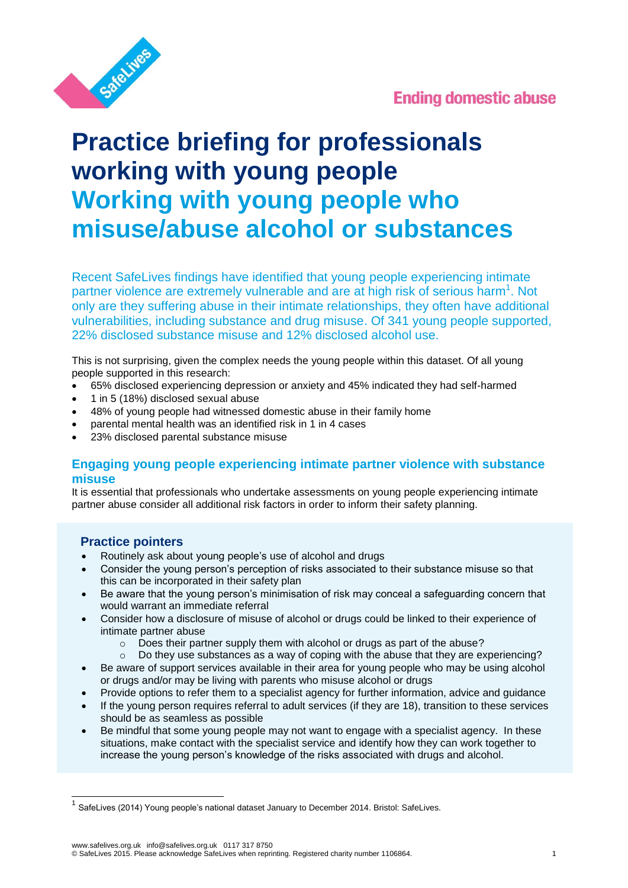

# **Ending domestic abuse**

# **Practice briefing for professionals working with young people Working with young people who misuse/abuse alcohol or substances**

Recent SafeLives findings have identified that young people experiencing intimate partner violence are extremely vulnerable and are at high risk of serious harm<sup>1</sup>. Not only are they suffering abuse in their intimate relationships, they often have additional vulnerabilities, including substance and drug misuse. Of 341 young people supported, 22% disclosed substance misuse and 12% disclosed alcohol use.

This is not surprising, given the complex needs the young people within this dataset. Of all young people supported in this research:

- 65% disclosed experiencing depression or anxiety and 45% indicated they had self-harmed
- 1 in 5 (18%) disclosed sexual abuse
- 48% of young people had witnessed domestic abuse in their family home
- parental mental health was an identified risk in 1 in 4 cases
- 23% disclosed parental substance misuse

# **Engaging young people experiencing intimate partner violence with substance misuse**

It is essential that professionals who undertake assessments on young people experiencing intimate partner abuse consider all additional risk factors in order to inform their safety planning.

## **Practice pointers**

 $\overline{\phantom{a}}$ 

- Routinely ask about young people's use of alcohol and drugs
- Consider the young person's perception of risks associated to their substance misuse so that this can be incorporated in their safety plan
- Be aware that the young person's minimisation of risk may conceal a safeguarding concern that would warrant an immediate referral
- Consider how a disclosure of misuse of alcohol or drugs could be linked to their experience of intimate partner abuse
	- o Does their partner supply them with alcohol or drugs as part of the abuse?
	- $\circ$  Do they use substances as a way of coping with the abuse that they are experiencing?
- Be aware of support services available in their area for young people who may be using alcohol or drugs and/or may be living with parents who misuse alcohol or drugs
- Provide options to refer them to a specialist agency for further information, advice and guidance
- If the young person requires referral to adult services (if they are 18), transition to these services should be as seamless as possible
- Be mindful that some young people may not want to engage with a specialist agency. In these situations, make contact with the specialist service and identify how they can work together to increase the young person's knowledge of the risks associated with drugs and alcohol.

www.safelives.org.uk info@safelives.org.uk 0117 317 8750 © SafeLives 2015. Please acknowledge SafeLives when reprinting. Registered charity number 1106864. 1

<sup>&</sup>lt;sup>1</sup> SafeLives (2014) Young people's national dataset January to December 2014. Bristol: SafeLives.